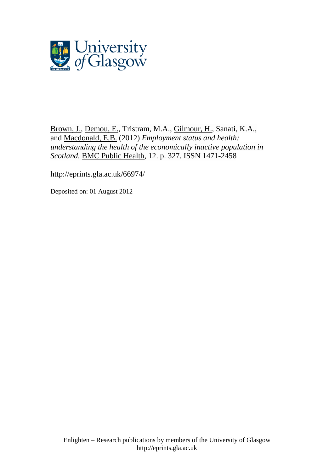

[Brown, J.,](http://eprints.gla.ac.uk/view/author/6192.html) [Demou, E.,](http://eprints.gla.ac.uk/view/author/5153.html) Tristram, M.A., [Gilmour, H.,](http://eprints.gla.ac.uk/view/author/12552.html) Sanati, K.A., and [Macdonald, E.B.](http://eprints.gla.ac.uk/view/author/4907.html) (2012) *Employment status and health: understanding the health of the economically inactive population in Scotland.* [BMC Public Health,](http://eprints.gla.ac.uk/view/journal_volume/BMC_Public_Health.html) 12. p. 327. ISSN 1471-2458

<http://eprints.gla.ac.uk/66974/>

Deposited on: 01 August 2012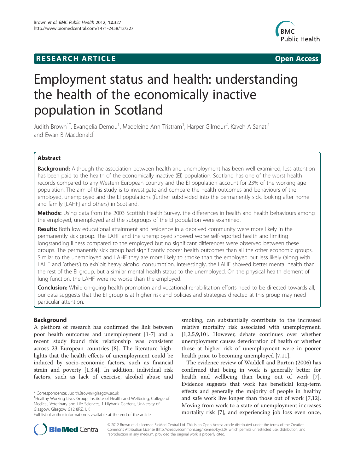# **RESEARCH ARTICLE Example 2014 The SEARCH ARTICLE**



# Employment status and health: understanding the health of the economically inactive population in Scotland

Judith Brown<sup>1\*</sup>, Evangelia Demou<sup>1</sup>, Madeleine Ann Tristram<sup>1</sup>, Harper Gilmour<sup>2</sup>, Kaveh A Sanati<sup>1</sup> and Ewan B Macdonald<sup>1</sup>

# Abstract

Background: Although the association between health and unemployment has been well examined, less attention has been paid to the health of the economically inactive (EI) population. Scotland has one of the worst health records compared to any Western European country and the EI population account for 23% of the working age population. The aim of this study is to investigate and compare the health outcomes and behaviours of the employed, unemployed and the EI populations (further subdivided into the permanently sick, looking after home and family [LAHF] and others) in Scotland.

Methods: Using data from the 2003 Scottish Health Survey, the differences in health and health behaviours among the employed, unemployed and the subgroups of the EI population were examined.

Results: Both low educational attainment and residence in a deprived community were more likely in the permanently sick group. The LAHF and the unemployed showed worse self-reported health and limiting longstanding illness compared to the employed but no significant differences were observed between these groups. The permanently sick group had significantly poorer health outcomes than all the other economic groups. Similar to the unemployed and LAHF they are more likely to smoke than the employed but less likely (along with LAHF and 'others') to exhibit heavy alcohol consumption. Interestingly, the LAHF showed better mental health than the rest of the EI group, but a similar mental health status to the unemployed. On the physical health element of lung function, the LAHF were no worse than the employed.

**Conclusion:** While on-going health promotion and vocational rehabilitation efforts need to be directed towards all, our data suggests that the EI group is at higher risk and policies and strategies directed at this group may need particular attention.

# Background

A plethora of research has confirmed the link between poor health outcomes and unemployment [[1-7](#page-8-0)] and a recent study found this relationship was consistent across 23 European countries [[8\]](#page-8-0). The literature highlights that the health effects of unemployment could be induced by socio-economic factors, such as financial strain and poverty [[1,3,4\]](#page-8-0). In addition, individual risk factors, such as lack of exercise, alcohol abuse and smoking, can substantially contribute to the increased relative mortality risk associated with unemployment. [[1,2,5,9,10\]](#page-8-0). However, debate continues over whether unemployment causes deterioration of health or whether those at higher risk of unemployment were in poorer health prior to becoming unemployed [[7](#page-8-0),[11](#page-8-0)].

The evidence review of Waddell and Burton (2006) has confirmed that being in work is generally better for health and wellbeing than being out of work [\[7](#page-8-0)]. Evidence suggests that work has beneficial long-term effects and generally the majority of people in healthy and safe work live longer than those out of work [[7](#page-8-0),[12](#page-8-0)]. Moving from work to a state of unemployment increases mortality risk [\[7](#page-8-0)], and experiencing job loss even once,



© 2012 Brown et al.; licensee BioMed Central Ltd. This is an Open Access article distributed under the terms of the Creative Commons Attribution License (http://creativecommons.org/licenses/by/2.0), which permits unrestricted use, distribution, and reproduction in any medium, provided the original work is properly cited.

<sup>\*</sup> Correspondence: [Judith.Brown@glasgow.ac.uk](mailto:Judith.Brown@glasgow.ac.uk) <sup>1</sup>

<sup>&</sup>lt;sup>1</sup>Healthy Working Lives Group, Institute of Health and Wellbeing, College of Medical, Veterinary and Life Sciences, 1 Lilybank Gardens, University of Glasgow, Glasgow G12 8RZ, UK

Full list of author information is available at the end of the article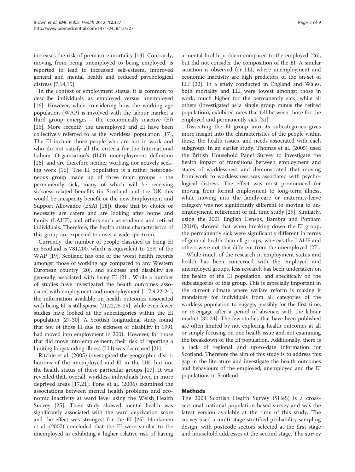increases the risk of premature mortality [\[13\]](#page-8-0). Contrarily, moving from being unemployed to being employed, is reported to lead to increased self-esteem, improved general and mental health and reduced psychological distress [[7,14,15\]](#page-8-0).

In the context of employment status, it is common to describe individuals as employed versus unemployed [[16\]](#page-8-0). However, when considering how the working age population (WAP) is involved with the labour market a third group emerges - the economically inactive (EI) [[16\]](#page-8-0). More recently the unemployed and EI have been collectively referred to as the 'workless' population [\[17](#page-8-0)]. The EI include those people who are not in work and who do not satisfy all the criteria for the International Labour Organisation's (ILO) unemployment definition [[16\]](#page-8-0), and are therefore neither working nor actively seeking work [[16\]](#page-8-0). The EI population is a rather heterogeneous group made up of three main groups - the permanently sick, many of which will be receiving sickness-related benefits (in Scotland and the UK this would be incapacity benefit or the new Employment and Support Allowance (ESA) [[18](#page-8-0)]), those that by choice or necessity are carers and are looking after home and family (LAHF), and others such as students and retired individuals. Therefore, the health status characteristics of this group are expected to cover a wide spectrum.

Currently, the number of people classified as being EI in Scotland is 781,200, which is equivalent to 23% of the WAP [[19](#page-8-0)]. Scotland has one of the worst health records amongst those of working age compared to any Western European country [[20](#page-8-0)], and sickness and disability are generally associated with being EI [[21](#page-9-0)]. While a number of studies have investigated the health outcomes associated with employment and unemployment [[1-7,9,](#page-8-0)[22](#page-9-0)-[24](#page-9-0)], the information available on health outcomes associated with being EI is still sparse [[21,22,25-29\]](#page-9-0), while even fewer studies have looked at the subcategories within the EI population [[27](#page-9-0)-[30](#page-9-0)]. A Scottish longitudinal study found that few of those EI due to sickness or disability in 1991 had moved into employment in 2001. However, for those that did move into employment, their risk of reporting a limiting longstanding illness (LLI) was decreased [\[21](#page-9-0)].

Ritchie et al. (2005) investigated the geographic distributions of the unemployed and EI in the UK, but not the health status of these particular groups [[17\]](#page-8-0). It was revealed that, overall, workless individuals lived in more deprived areas [\[17](#page-8-0)[,21](#page-9-0)]. Fone et al. (2006) examined the associations between mental health problems and economic inactivity at ward level using the Welsh Health Survey [[25\]](#page-9-0). Their study showed mental health was significantly associated with the ward deprivation score and the effect was strongest for the EI [[25](#page-9-0)]. Honkonen et al. (2007) concluded that the EI were similar to the unemployed in exhibiting a higher relative risk of having

a mental health problem compared to the employed [[26](#page-9-0)], but did not consider the composition of the EI. A similar situation is observed for LLI, where unemployment and economic inactivity are high predictors of the on-set of LLI [[22](#page-9-0)]. In a study conducted in England and Wales, both mortality and LLI were lowest amongst those in work, much higher for the permanently sick, while all others (investigated as a single group minus the retired population), exhibited rates that fell between those for the employed and permanently sick [[31](#page-9-0)].

Dissecting the EI group into its subcategories gives more insight into the characteristics of the people within these, the health issues, and needs associated with each subgroup. In an earlier study, Thomas et al. (2005) used the British Household Panel Survey to investigate the health impact of transitions between employment and states of worklessness and demonstrated that moving from work to worklessness was associated with psychological distress. The effect was most pronounced for moving from formal employment to long-term illness, while moving into the family-care or maternity-leave category was not significantly different to moving to unemployment, retirement or full time study [[29\]](#page-9-0). Similarly, using the 2001 English Census, Bambra and Popham (2010), showed that when breaking down the EI group, the permanently sick were significantly different in terms of general health than all groups, whereas the LAHF and others were not that different from the unemployed [\[27](#page-9-0)].

While much of the research in employment status and health has been concerned with the employed and unemployed groups, less research has been undertaken on the health of the EI population, and specifically on the subcategories of this group. This is especially important in the current climate where welfare reform is making it mandatory for individuals from all categories of the workless population to engage, possibly for the first time, or re-engage after a period of absence, with the labour market [\[32-34\]](#page-9-0). The few studies that have been published are often limited by not exploring health outcomes at all or simply focusing on one health issue and not examining the breakdown of the EI population. Additionally, there is a lack of regional and up-to-date information for Scotland. Therefore the aim of this study is to address this gap in the literature and investigate the health outcomes and behaviours of the employed, unemployed and the EI populations in Scotland.

# Methods

The 2003 Scottish Health Survey (SHeS) is a crosssectional national population-based survey and was the latest version available at the time of this study. The survey used a multi-stage stratified probability sampling design, with postcode sectors selected at the first stage and household addresses at the second stage. The survey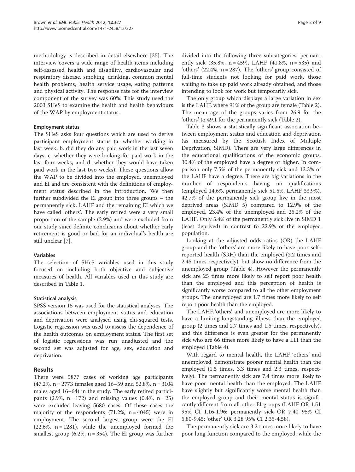methodology is described in detail elsewhere [[35\]](#page-9-0). The interview covers a wide range of health items including self-assessed health and disability, cardiovascular and respiratory disease, smoking, drinking, common mental health problems, health service usage, eating patterns and physical activity. The response rate for the interview component of the survey was 60%. This study used the 2003 SHeS to examine the health and health behaviours of the WAP by employment status.

# Employment status

The SHeS asks four questions which are used to derive participant employment status (a. whether working in last week, b. did they do any paid work in the last seven days, c. whether they were looking for paid work in the last four weeks, and d. whether they would have taken paid work in the last two weeks). These questions allow the WAP to be divided into the employed, unemployed and EI and are consistent with the definitions of employment status described in the introduction. We then further subdivided the EI group into three groups – the permanently sick, LAHF and the remaining EI which we have called 'others'. The early retired were a very small proportion of the sample (2.9%) and were excluded from our study since definite conclusions about whether early retirement is good or bad for an individual's health are still unclear [\[7](#page-8-0)].

# Variables

The selection of SHeS variables used in this study focused on including both objective and subjective measures of health. All variables used in this study are described in Table [1.](#page-4-0)

# Statistical analysis

SPSS version 15 was used for the statistical analyses. The associations between employment status and education and deprivation were analysed using chi-squared tests. Logistic regression was used to assess the dependence of the health outcomes on employment status. The first set of logistic regressions was run unadjusted and the second set was adjusted for age, sex, education and deprivation.

# Results

There were 5877 cases of working age participants (47.2%, n = 2773 females aged 16–59 and 52.8%, n = 3104 males aged 16–64) in the study. The early retired participants  $(2.9\% , n = 172)$  and missing values  $(0.4\% , n = 25)$ were excluded leaving 5680 cases. Of these cases the majority of the respondents  $(71.2\% , n = 4045)$  were in employment. The second largest group were the EI  $(22.6\% , n = 1281)$ , while the unemployed formed the smallest group  $(6.2\%$ , n = 354). The EI group was further divided into the following three subcategories; permanently sick  $(35.8\%, n = 459)$ , LAHF  $(41.8\%, n = 535)$  and 'others' (22.4%, n = 287). The 'others' group consisted of full-time students not looking for paid work, those waiting to take up paid work already obtained, and those intending to look for work but temporarily sick.

The only group which displays a large variation in sex is the LAHF, where 91% of the group are female (Table [2](#page-5-0)). The mean age of the groups varies from 26.9 for the 'others' to 49.1 for the permanently sick (Table [2](#page-5-0)).

Table [3](#page-5-0) shows a statistically significant association between employment status and education and deprivation (as measured by the Scottish Index of Multiple Deprivation, SIMD). There are very large differences in the educational qualifications of the economic groups. 30.4% of the employed have a degree or higher. In comparison only 7.5% of the permanently sick and 13.3% of the LAHF have a degree. There are big variations in the number of respondents having no qualifications (employed 14.6%, permanently sick 51.5%, LAHF 33.9%). 42.7% of the permanently sick group live in the most deprived areas (SIMD 5) compared to 12.9% of the employed, 23.4% of the unemployed and 25.2% of the LAHF. Only 5.4% of the permanently sick live in SIMD 1 (least deprived) in contrast to 22.9% of the employed population.

Looking at the adjusted odds ratios (OR) the LAHF group and the 'others' are more likely to have poor selfreported health (SRH) than the employed (2.2 times and 2.45 times respectively), but show no difference from the unemployed group (Table [4\)](#page-6-0). However the permanently sick are 25 times more likely to self report poor health than the employed and this perception of health is significantly worse compared to all the other employment groups. The unemployed are 1.7 times more likely to self report poor health than the employed.

The LAHF, 'others', and unemployed are more likely to have a limiting-longstanding illness than the employed group (2 times and 2.7 times and 1.5 times, respectively), and this difference is even greater for the permanently sick who are 66 times more likely to have a LLI than the employed (Table [4\)](#page-6-0).

With regard to mental health, the LAHF, 'others' and unemployed, demonstrate poorer mental health than the employed (1.5 times, 3.3 times and 2.3 times, respectively). The permanently sick are 7.4 times more likely to have poor mental health than the employed. The LAHF have slightly but significantly worse mental health than the employed group and their mental status is significantly different from all other EI groups (LAHF OR 1.51 95% CI 1.16-1.96; permanently sick OR 7.40 95% CI 5.80-9.45; 'other' OR 3.28 95% CI 2.35-4.58).

The permanently sick are 3.2 times more likely to have poor lung function compared to the employed, while the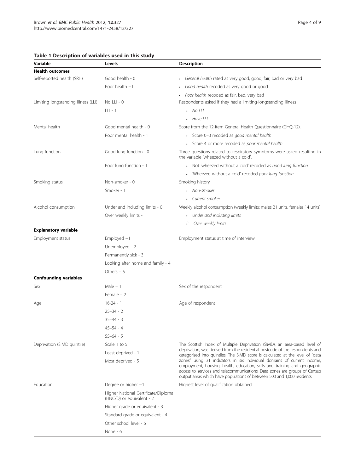# <span id="page-4-0"></span>Table 1 Description of variables used in this study

| Variable                            | Levels                                                           | <b>Description</b>                                                                                                                                                                                                                                                                                             |  |  |
|-------------------------------------|------------------------------------------------------------------|----------------------------------------------------------------------------------------------------------------------------------------------------------------------------------------------------------------------------------------------------------------------------------------------------------------|--|--|
| <b>Health outcomes</b>              |                                                                  |                                                                                                                                                                                                                                                                                                                |  |  |
| Self-reported health (SRH)          | Good health - 0                                                  | · General health rated as very good, good, fair, bad or very bad                                                                                                                                                                                                                                               |  |  |
|                                     | Poor health $-1$                                                 | Good health recoded as very good or good                                                                                                                                                                                                                                                                       |  |  |
|                                     |                                                                  | Poor health recoded as fair, bad, very bad                                                                                                                                                                                                                                                                     |  |  |
| Limiting longstanding illness (LLI) | $No LLI - 0$                                                     | Respondents asked if they had a limiting-longstanding illness                                                                                                                                                                                                                                                  |  |  |
|                                     | $LU - 1$                                                         | $\cdot$ No LLI                                                                                                                                                                                                                                                                                                 |  |  |
|                                     |                                                                  | $-Have III$                                                                                                                                                                                                                                                                                                    |  |  |
| Mental health                       | Good mental health - 0                                           | Score from the 12-item General Health Ouestionnaire (GHO-12).                                                                                                                                                                                                                                                  |  |  |
|                                     | Poor mental health - 1                                           | · Score 0-3 recoded as good mental health                                                                                                                                                                                                                                                                      |  |  |
|                                     |                                                                  | • Score 4 or more recoded as poor mental health                                                                                                                                                                                                                                                                |  |  |
| Lung function                       | Good lung function - 0                                           | Three questions related to respiratory symptoms were asked resulting in<br>the variable 'wheezed without a cold'.                                                                                                                                                                                              |  |  |
|                                     | Poor lung function - 1                                           | • Not 'wheezed without a cold' recoded as good lung function                                                                                                                                                                                                                                                   |  |  |
|                                     |                                                                  | • Wheezed without a cold' recoded poor lung function                                                                                                                                                                                                                                                           |  |  |
| Smoking status                      | Non-smoker - 0                                                   | Smoking history                                                                                                                                                                                                                                                                                                |  |  |
|                                     | Smoker - 1                                                       | • Non-smoker                                                                                                                                                                                                                                                                                                   |  |  |
|                                     |                                                                  | • Current smoker                                                                                                                                                                                                                                                                                               |  |  |
| Alcohol consumption                 | Under and including limits - 0                                   | Weekly alcohol consumption (weekly limits: males 21 units, females 14 units)                                                                                                                                                                                                                                   |  |  |
|                                     | Over weekly limits - 1                                           | • Under and including limits                                                                                                                                                                                                                                                                                   |  |  |
|                                     |                                                                  | Over weekly limits                                                                                                                                                                                                                                                                                             |  |  |
| <b>Explanatory variable</b>         |                                                                  |                                                                                                                                                                                                                                                                                                                |  |  |
| Employment status                   | Employed $-1$                                                    | Employment status at time of interview                                                                                                                                                                                                                                                                         |  |  |
|                                     | Unemployed - 2                                                   |                                                                                                                                                                                                                                                                                                                |  |  |
|                                     | Permanently sick - 3                                             |                                                                                                                                                                                                                                                                                                                |  |  |
|                                     | Looking after home and family - 4                                |                                                                                                                                                                                                                                                                                                                |  |  |
|                                     | Others $-5$                                                      |                                                                                                                                                                                                                                                                                                                |  |  |
| <b>Confounding variables</b>        |                                                                  |                                                                                                                                                                                                                                                                                                                |  |  |
| Sex                                 | $Male - 1$                                                       | Sex of the respondent                                                                                                                                                                                                                                                                                          |  |  |
|                                     | Female $-2$                                                      |                                                                                                                                                                                                                                                                                                                |  |  |
| Age                                 | $16 - 24 - 1$                                                    | Age of respondent                                                                                                                                                                                                                                                                                              |  |  |
|                                     | $25 - 34 - 2$                                                    |                                                                                                                                                                                                                                                                                                                |  |  |
|                                     | $35 - 44 - 3$                                                    |                                                                                                                                                                                                                                                                                                                |  |  |
|                                     | $45 - 54 - 4$                                                    |                                                                                                                                                                                                                                                                                                                |  |  |
|                                     | $55 - 64 - 5$                                                    |                                                                                                                                                                                                                                                                                                                |  |  |
| Deprivation (SIMD quintile)         | Scale 1 to 5                                                     | The Scottish Index of Multiple Deprivation (SIMD), an area-based level of<br>deprivation, was derived from the residential postcode of the respondents and                                                                                                                                                     |  |  |
|                                     | Least deprived - 1                                               | categorised into quintiles. The SIMD score is calculated at the level of "data                                                                                                                                                                                                                                 |  |  |
|                                     | Most deprived - 5                                                | zones" using 31 indicators in six individual domains of current income,<br>employment, housing, health, education, skills and training and geographic<br>access to services and telecommunications. Data zones are groups of Census<br>output areas which have populations of between 500 and 1,000 residents. |  |  |
| Education                           | Degree or higher $-1$                                            | Highest level of qualification obtained                                                                                                                                                                                                                                                                        |  |  |
|                                     | Higher National Certificate/Diploma<br>(HNC/D) or equivalent - 2 |                                                                                                                                                                                                                                                                                                                |  |  |
|                                     | Higher grade or equivalent - 3                                   |                                                                                                                                                                                                                                                                                                                |  |  |
|                                     | Standard grade or equivalent - 4                                 |                                                                                                                                                                                                                                                                                                                |  |  |
|                                     | Other school level - 5                                           |                                                                                                                                                                                                                                                                                                                |  |  |
|                                     | None - 6                                                         |                                                                                                                                                                                                                                                                                                                |  |  |
|                                     |                                                                  |                                                                                                                                                                                                                                                                                                                |  |  |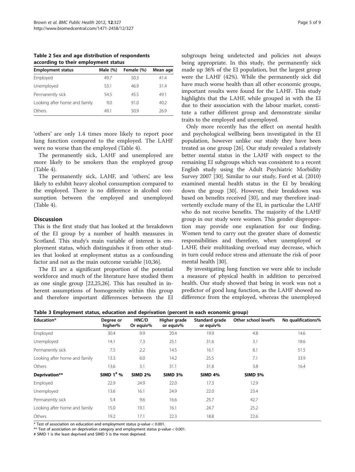<span id="page-5-0"></span>Table 2 Sex and age distribution of respondents according to their employment status

| <b>Employment status</b>      | Male $(\%)$ | Female (%) | Mean age |
|-------------------------------|-------------|------------|----------|
| Employed                      | 49.7        | 50.3       | 41.4     |
| Unemployed                    | 53.1        | 46.9       | 31.4     |
| Permanently sick              | 54.5        | 45.5       | 49.1     |
| Looking after home and family | 9.0         | 91.0       | 40.2     |
| Others                        | 49.1        | 50.9       | 26.9     |

'others' are only 1.4 times more likely to report poor lung function compared to the employed. The LAHF were no worse than the employed (Table [4\)](#page-6-0).

The permanently sick, LAHF and unemployed are more likely to be smokers than the employed group (Table [4\)](#page-6-0).

The permanently sick, LAHF, and 'others', are less likely to exhibit heavy alcohol consumption compared to the employed. There is no difference in alcohol consumption between the employed and unemployed (Table [4\)](#page-6-0).

### Discussion

This is the first study that has looked at the breakdown of the EI group by a number of health measures in Scotland. This study's main variable of interest is employment status, which distinguishes it from other studies that looked at employment status as a confounding factor and not as the main outcome variable [[10,](#page-8-0)[36](#page-9-0)].

The EI are a significant proportion of the potential workforce and much of the literature have studied them as one single group [\[22,25,26\]](#page-9-0). This has resulted in inherent assumptions of homogeneity within this group and therefore important differences between the EI

subgroups being undetected and policies not always being appropriate. In this study, the permanently sick made up 36% of the EI population, but the largest group were the LAHF (42%). While the permanently sick did have much worse health than all other economic groups, important results were found for the LAHF. This study highlights that the LAHF, while grouped in with the EI due to their association with the labour market, constitute a rather different group and demonstrate similar traits to the employed and unemployed.

Only more recently has the effect on mental health and psychological wellbeing been investigated in the EI population, however unlike our study they have been treated as one group [\[26](#page-9-0)]. Our study revealed a relatively better mental status in the LAHF with respect to the remaining EI subgroups which was consistent to a recent English study using the Adult Psychiatric Morbidity Survey 2007 [\[30](#page-9-0)]. Similar to our study, Ford et al. (2010) examined mental health status in the EI by breaking down the group [\[30\]](#page-9-0). However, their breakdown was based on benefits received [\[30\]](#page-9-0), and may therefore inadvertently exclude many of the EI, in particular the LAHF who do not receive benefits. The majority of the LAHF group in our study were women. This gender disproportion may provide one explanation for our finding. Women tend to carry out the greater share of domestic responsibilities and therefore, when unemployed or LAHF, their multitasking overload may decrease, which in turn could reduce stress and attenuate the risk of poor mental health [[30](#page-9-0)].

By investigating lung function we were able to include a measure of physical health in addition to perceived health. Our study showed that being in work was not a predictor of good lung function, as the LAHF showed no difference from the employed, whereas the unemployed

Table 3 Employment status, education and deprivation (percent in each economic group)

| Education*                    | Degree or<br>higher% | HNC/D<br>Or equiv% | Higher grade<br>or equiv% | Standard grade<br>or equiv% | Other school level% | No qualifications% |
|-------------------------------|----------------------|--------------------|---------------------------|-----------------------------|---------------------|--------------------|
| Employed                      | 30.4                 | 9.9                | 20.4                      | 19.9                        | 4.8                 | 14.6               |
| Unemployed                    | 14.1                 | 7.3                | 25.1                      | 31.6                        | 3.1                 | 18.6               |
| Permanently sick              | 7.5                  | 2.2                | 14.5                      | 16.1                        | 8.1                 | 51.5               |
| Looking after home and family | 13.3                 | 6.0                | 14.2                      | 25.5                        | 7.1                 | 33.9               |
| Others                        | 13.6                 | 3.1                | 31.1                      | 31.8                        | 3.8                 | 16.4               |
| Deprivation**                 | SIMD $1^*$ %         | <b>SIMD 2%</b>     | <b>SIMD 3%</b>            | <b>SIMD 4%</b>              | <b>SIMD 5%</b>      |                    |
| Employed                      | 22.9                 | 24.9               | 22.0                      | 17.3                        | 12.9                |                    |
| Unemployed                    | 13.6                 | 16.1               | 24.9                      | 22.0                        | 23.4                |                    |
| Permanently sick              | 5.4                  | 9.6                | 16.6                      | 25.7                        | 42.7                |                    |
| Looking after home and family | 15.0                 | 19.1               | 16.1                      | 24.7                        | 25.2                |                    |
| Others                        | 19.2                 | 17.1               | 22.3                      | 18.8                        | 22.6                |                    |

\* Test of association on education and employment status p-value < 0.001.

\*\* Test of association on deprivation category and employment status p-value < 0.001.

# SIMD 1 is the least deprived and SIMD 5 is the most deprived.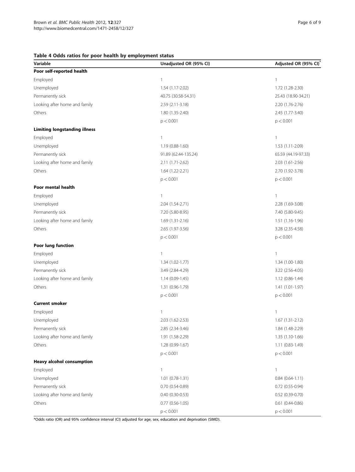<span id="page-6-0"></span>

| Variable                             | Unadjusted OR (95% CI) | Adjusted OR (95% CI)   |
|--------------------------------------|------------------------|------------------------|
| Poor self-reported health            |                        |                        |
| Employed                             | $\mathbf{1}$           | 1                      |
| Unemployed                           | 1.54 (1.17-2.02)       | 1.72 (1.28-2.30)       |
| Permanently sick                     | 40.75 (30.58-54.31)    | 25.43 (18.90-34.21)    |
| Looking after home and family        | 2.59 (2.11-3.18)       | 2.20 (1.76-2.76)       |
| Others                               | 1.80 (1.35-2.40)       | 2.45 (1.77-3.40)       |
|                                      | p < 0.001              | p < 0.001              |
| <b>Limiting longstanding illness</b> |                        |                        |
| Employed                             | $\mathbf{1}$           | 1                      |
| Unemployed                           | 1.19 (0.88-1.60)       | 1.53 (1.11-2.09)       |
| Permanently sick                     | 91.89 (62.44-135.24)   | 65.59 (44.19-97.33)    |
| Looking after home and family        | 2.11 (1.71-2.62)       | 2.03 (1.61-2.56)       |
| Others                               | $1.64(1.22 - 2.21)$    | 2.70 (1.92-3.78)       |
|                                      | p < 0.001              | p < 0.001              |
| Poor mental health                   |                        |                        |
| Employed                             | $\mathbf{1}$           | 1                      |
| Unemployed                           | 2.04 (1.54-2.71)       | 2.28 (1.69-3.08)       |
| Permanently sick                     | 7.20 (5.80-8.95)       | 7.40 (5.80-9.45)       |
| Looking after home and family        | $1.69(1.31-2.16)$      | 1.51 (1.16-1.96)       |
| Others                               | 2.65 (1.97-3.56)       | 3.28 (2.35-4.58)       |
|                                      | p < 0.001              | p < 0.001              |
| Poor lung function                   |                        |                        |
| Employed                             | $\mathbf{1}$           | 1                      |
| Unemployed                           | 1.34 (1.02-1.77)       | 1.34 (1.00-1.80)       |
| Permanently sick                     | 3.49 (2.84-4.29)       | 3.22 (2.56-4.05)       |
| Looking after home and family        | 1.14 (0.09-1.45)       | 1.12 (0.86-1.44)       |
| Others                               | 1.31 (0.96-1.79)       | 1.41 (1.01-1.97)       |
|                                      | p < 0.001              | p < 0.001              |
| <b>Current smoker</b>                |                        |                        |
| Employed                             | $\mathbf{1}$           | 1                      |
| Unemployed                           | 2.03 (1.62-2.53)       | 1.67 (1.31-2.12)       |
| Permanently sick                     | 2.85 (2.34-3.46)       | 1.84 (1.48-2.29)       |
| Looking after home and family        | 1.91 (1.58-2.29)       | 1.35 (1.10-1.66)       |
| Others                               | 1.28 (0.99-1.67)       | 1.11 (0.83-1.49)       |
|                                      | p < 0.001              | p < 0.001              |
| <b>Heavy alcohol consumption</b>     |                        |                        |
| Employed                             | $\mathbf{1}$           | 1                      |
| Unemployed                           | $1.01$ $(0.78-1.31)$   | $0.84(0.64-1.11)$      |
| Permanently sick                     | $0.70(0.54 - 0.89)$    | 0.72 (0.55-0.94)       |
| Looking after home and family        | $0.40(0.30 - 0.53)$    | $0.52(0.39-0.70)$      |
| Others                               | $0.77$ $(0.56 - 1.05)$ | $0.61$ $(0.44 - 0.86)$ |
|                                      | p < 0.001              | p < 0.001              |

\*Odds ratio (OR) and 95% confidence interval (CI) adjusted for age, sex, education and deprivation (SIMD).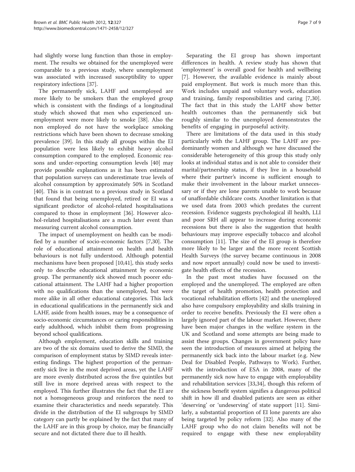had slightly worse lung function than those in employment. The results we obtained for the unemployed were comparable to a previous study, where unemployment was associated with increased susceptibility to upper respiratory infections [\[37\]](#page-9-0).

The permanently sick, LAHF and unemployed are more likely to be smokers than the employed group which is consistent with the findings of a longitudinal study which showed that men who experienced unemployment were more likely to smoke [[38\]](#page-9-0). Also the non employed do not have the workplace smoking restrictions which have been shown to decrease smoking prevalence [[39\]](#page-9-0). In this study all groups within the EI population were less likely to exhibit heavy alcohol consumption compared to the employed. Economic reasons and under-reporting consumption levels [\[40\]](#page-9-0) may provide possible explanations as it has been estimated that population surveys can underestimate true levels of alcohol consumption by approximately 50% in Scotland [[40\]](#page-9-0). This is in contrast to a previous study in Scotland that found that being unemployed, retired or EI was a significant predictor of alcohol-related hospitalisations compared to those in employment [[36](#page-9-0)]. However alcohol-related hospitalisations are a much later event than measuring current alcohol consumption.

The impact of unemployment on health can be modified by a number of socio-economic factors [\[7](#page-8-0)[,30](#page-9-0)]. The role of educational attainment on health and health behaviours is not fully understood. Although potential mechanisms have been proposed [[10,](#page-8-0)[41\]](#page-9-0), this study seeks only to describe educational attainment by economic group. The permanently sick showed much poorer educational attainment. The LAHF had a higher proportion with no qualifications than the unemployed, but were more alike in all other educational categories. This lack in educational qualifications in the permanently sick and LAHF, aside from health issues, may be a consequence of socio-economic circumstances or caring responsibilities in early adulthood, which inhibit them from progressing beyond school qualifications.

Although employment, education skills and training are two of the six domains used to derive the SIMD, the comparison of employment status by SIMD reveals interesting findings. The highest proportion of the permanently sick live in the most deprived areas, yet the LAHF are more evenly distributed across the five quintiles but still live in more deprived areas with respect to the employed. This further illustrates the fact that the EI are not a homogeneous group and reinforces the need to examine their characteristics and needs separately. This divide in the distribution of the EI subgroups by SIMD category can partly be explained by the fact that many of the LAHF are in this group by choice, may be financially secure and not dictated there due to ill health.

Separating the EI group has shown important differences in health. A review study has shown that 'employment' is overall good for health and wellbeing [[7\]](#page-8-0). However, the available evidence is mainly about paid employment. But work is much more than this. Work includes unpaid and voluntary work, education and training, family responsibilities and caring [[7,](#page-8-0)[30](#page-9-0)]. The fact that in this study the LAHF show better health outcomes than the permanently sick but roughly similar to the unemployed demonstrates the benefits of engaging in purposeful activity.

There are limitations of the data used in this study particularly with the LAHF group. The LAHF are predominantly women and although we have discussed the considerable heterogeneity of this group this study only looks at individual status and is not able to consider their marital/partnership status, if they live in a household where their partner's income is sufficient enough to make their involvement in the labour market unnecessary or if they are lone parents unable to work because of unaffordable childcare costs. Another limitation is that we used data from 2003 which predates the current recession. Evidence suggests psychological ill health, LLI and poor SRH all appear to increase during economic recessions but there is also the suggestion that health behaviours may improve especially tobacco and alcohol consumption [\[11\]](#page-8-0). The size of the EI group is therefore more likely to be larger and the more recent Scottish Health Surveys (the survey became continuous in 2008 and now report annually) could now be used to investigate health effects of the recession.

In the past most studies have focussed on the employed and the unemployed. The employed are often the target of health promotion, health protection and vocational rehabilitation efforts [[42](#page-9-0)] and the unemployed also have compulsory employability and skills training in order to receive benefits. Previously the EI were often a largely ignored part of the labour market. However, there have been major changes in the welfare system in the UK and Scotland and some attempts are being made to assist these groups. Changes in government policy have seen the introduction of measures aimed at helping the permanently sick back into the labour market (e.g. New Deal for Disabled People, Pathways to Work). Further, with the introduction of ESA in 2008, many of the permanently sick now have to engage with employability and rehabilitation services [[33,34](#page-9-0)], though this reform of the sickness benefit system signifies a dangerous political shift in how ill and disabled patients are seen as either 'deserving' or 'undeserving' of state support [\[11](#page-8-0)]. Similarly, a substantial proportion of EI lone parents are also being targeted by policy reform [\[32](#page-9-0)]. Also many of the LAHF group who do not claim benefits will not be required to engage with these new employability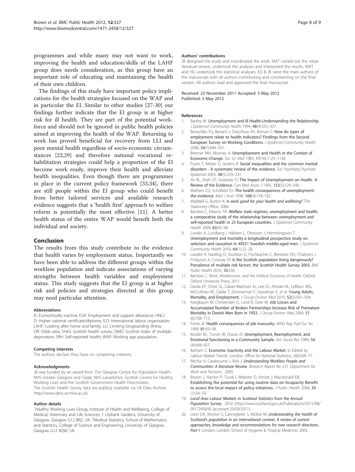<span id="page-8-0"></span>programmes and while many may not want to work, improving the health and education/skills of the LAHF group does needs consideration, as this group have an important role of educating and maintaining the health of their own children.

The findings of this study have important policy implications for the health strategies focused on the WAP and in particular the EI. Similar to other studies [[27](#page-9-0)-[30\]](#page-9-0) our findings further indicate that the EI group is at higher risk for ill health. They are part of the potential workforce and should not be ignored in public health policies aimed at improving the health of the WAP. Returning to work has proved beneficial for recovery from LLI and poor mental health regardless of socio-economic circumstances [[22,29](#page-9-0)] and therefore national vocational rehabilitation strategies could help a proportion of the EI become work ready, improve their health and alleviate health inequalities. Even though there are programmes in place in the current policy framework [\[33,34\]](#page-9-0), there are still people within the EI group who could benefit from better tailored services and available research evidence suggests that a 'health first' approach to welfare reform is potentially the most effective [11]. A better health status of the entire WAP would benefit both the individual and society.

# Conclusion

The results from this study contribute to the evidence that health varies by employment status. Importantly we have been able to address the different groups within the workless population and indicate associations of varying strengths between health variables and employment status. This study suggests that the EI group is at higher risk and policies and strategies directed at this group may need particular attention.

#### Abbreviations

EI: Economically inactive; ESA: Employment and support allowance; HNC/ D: Higher national certificate/diploma; ILO: International labour organisation; LAHF: Looking after home and family; LLI: Limiting longstanding illness; OR: Odds ratio; SHeS: Scottish health survey; SIMD: Scottish index of multiple deprivation; SRH: Self-reported health; WAP: Working age population.

#### Competing interests

The authors declare they have no competing interests.

#### Acknowledgments

JB was funded by an award from The Glasgow Centre for Population Health, NHS Greater Glasgow and Clyde, NHS Lanarkshire, Scottish Centre for Healthy Working Lives and the Scottish Government Health Directorates. The Scottish Health Survey data are publicly available via UK Data Archive <http://www.data-archive.ac.uk/>

#### Author details

<sup>1</sup> Healthy Working Lives Group, Institute of Health and Wellbeing, College of Medical, Veterinary and Life Sciences, 1 Lilybank Gardens, University of Glasgow, Glasgow G12 8RZ, UK. <sup>2</sup>Medical Statistics, School of Mathematics and Statistics, College of Science and Engineering, University of Glasgow, Glasgow G12 8QW, UK.

#### Authors' contributions

JB designed the study and coordinated the work. MAT carried out the initial literature review, undertook the analyses and interpreted the results. MAT and HG undertook the statistical analyses. ED & JB were the main authors of the manuscript with all authors contributing and commenting on the final version. All authors read and approved the final manuscript.

#### Received: 23 November 2011 Accepted: 3 May 2012 Published: 3 May 2012

#### References

- 1. Bartley M: Unemployment and ill Health-Understanding the Relationship. J Epidemiol Community Health 1994, 48(4):333–337.
- 2. Benavides FG, Benach J, Diez-Roux AV, Roman C: How do types of employment relate to health indicators? Findings from the Second European Survey on Working Conditions. J Epidemiol Community Health 2000, 54(7):494–501.
- 3. Brenner MH, Mooney A: Unemployment and Health in the Context of Economic-Change. Soc Sci Med 1983, 17(16):1125–1138.
- 4. Fryers T, Melzer D, Jenkins R: Social inequalities and the common mental disorders - A systematic review of the evidence. Soc Psychiatry Psychiatr Epidemiol 2003, 38(5):229–237.
- 5. Jin RL, Shah CP, Svoboda TJ: The Impact of Unemployment on Health- A Review of the Evidence. Can Med Assoc J 1995, 153(5):529-540.
- 6. Mathers CD, Schofield DJ: The health consequences of unemployment: the evidence. Med J Aust 1998, 168(4):178–182.
- 7. Waddell G, Burton K: Is work good for your health and wellbeing? The Stationery Office; 2006.
- 8. Bambra C, Eikemo TA: Welfare state regimes, unemployment and health: a comparative study of the relationship between unemployment and self-reported health in 23 European countries. J Epidemiol Community Health 2009, 63:92–98.
- 9. Lundin A, Lundberg I, Hallsten L, Ottosson J, Hemmingsson T: Unemployment and mortality-a longitudinal prospective study on selection and causation in 49321 Swedish middle-aged men. J Epidemiol Community Health 2010, 64(1):22–28.
- 10. Lawder R, Harding O, Stockton D, Fischbacher C, Brewster DH, Chalmers J, Finlayson A, Conway DI: Is the Scottish population living dangerously? Prevalence of multiple risk factors: the Scottish Health Survey 2003. BMC Public Health 2010, 10:330.
- 11. Bambra C: Work, Worklessness, and the Political Economy of Health. Oxford: Oxford University Press; 2011.
- 12. Davila EP, Christ SL, Caban-Martinez AJ, Lee DJ, Arheart KL, LeBlanc WG, McCollister KE, Clarke T, Zimmerman F, Goodman E, et al: Young Adults, Mortality, and Employment. J Occup Environ Med 2010, 52(5):501–504.
- 13. Kriegbaum M, Christensen U, Lund R, Osler M: Job Losses and Accumulated Number of Broken Partnerships Increase Risk of Premature Mortality in Danish Men Born in 1953. J Occup Environ Med 2009, 51 (6):708–713.
- 14. Ferrie JE: Health consequences of job insecurity. WHO Reg Publ Eur Ser 1999, 81:59–99.
- 15. Kessler RC, Turner JB, House JS: Unemployment, Reemployment, and Emotional functioning in a Community Sample. Am Sociol Rev 1989, 54 (4):648–657.
- 16. Barham C: Economic Inactivity and the Labour Market. In Edited by Labour Market Trends. London: Office for National Statistics; 2002:69–77.
- 17. Ritchie H, Casebourne J, Rick J: Understanding Workless People and Communities: A literature Review. Research Report No 255. Department for Work and Pensions. 2005.
- 18. Brown J, Hanlon P, Turok I, Webster D, Arnott J, Macdonald EB: Establishing the potential for using routine data on Incapacity Benefit to assess the local impact of policy initiatives. J Public Health 2008, 30 (1):54–59.
- 19. Local Area Labour Markets in Scotland Statistics from the Annual Population Survey. 2010. [[http://www.scotland.gov.uk/Publications/2011/08/](http://www.scotland.gov.uk/Publications/2011/08/09172458/6) [09172458/6\]](http://www.scotland.gov.uk/Publications/2011/08/09172458/6) (accessed 20/09/2011).
- 20. Leon DA, Morton S, Cannegieter S, McKee M: Understanding the health of Scotland's population in an international context. A review of current approaches, knowledge and recommendations for new research directions. Part I. London: London School of Hygiene & Tropical Medicine; 2003.